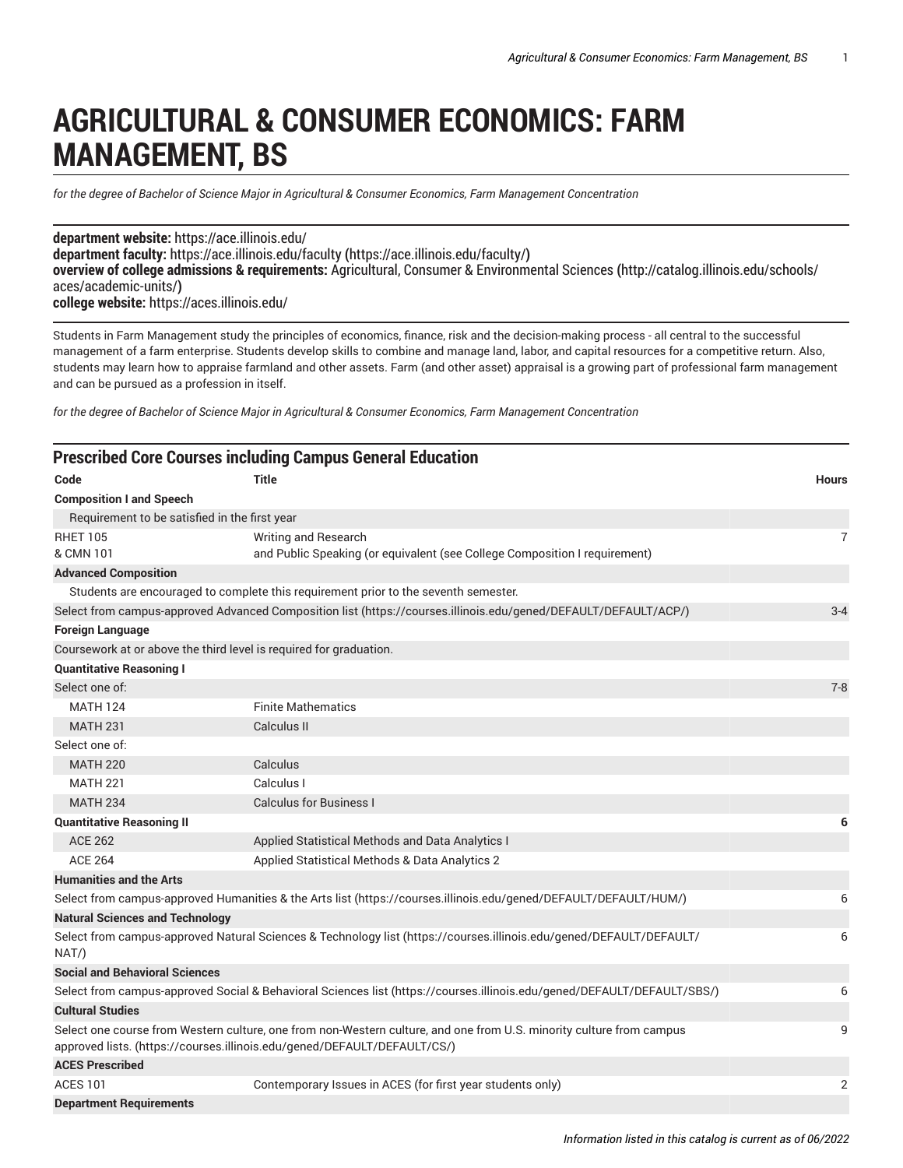## **AGRICULTURAL & CONSUMER ECONOMICS: FARM MANAGEMENT, BS**

*for the degree of Bachelor of Science Major in Agricultural & Consumer Economics, Farm Management Concentration*

**department website:** <https://ace.illinois.edu/> **department faculty:** [https://ace.illinois.edu/faculty](https://ace.illinois.edu/faculty/) **(**<https://ace.illinois.edu/faculty/>**) overview of college admissions & requirements:** Agricultural, Consumer & [Environmental](http://catalog.illinois.edu/schools/aces/academic-units/) Sciences **(**[http://catalog.illinois.edu/schools/](http://catalog.illinois.edu/schools/aces/academic-units/) [aces/academic-units/](http://catalog.illinois.edu/schools/aces/academic-units/)**) college website:** <https://aces.illinois.edu/>

Students in Farm Management study the principles of economics, finance, risk and the decision-making process - all central to the successful management of a farm enterprise. Students develop skills to combine and manage land, labor, and capital resources for a competitive return. Also, students may learn how to appraise farmland and other assets. Farm (and other asset) appraisal is a growing part of professional farm management and can be pursued as a profession in itself.

*for the degree of Bachelor of Science Major in Agricultural & Consumer Economics, Farm Management Concentration*

|                                                                                                                  | <b>Prescribed Core Courses including Campus General Education</b>                                                                                                                                |                |
|------------------------------------------------------------------------------------------------------------------|--------------------------------------------------------------------------------------------------------------------------------------------------------------------------------------------------|----------------|
| Code                                                                                                             | <b>Title</b>                                                                                                                                                                                     | <b>Hours</b>   |
| <b>Composition I and Speech</b>                                                                                  |                                                                                                                                                                                                  |                |
| Requirement to be satisfied in the first year                                                                    |                                                                                                                                                                                                  |                |
| <b>RHET 105</b>                                                                                                  | Writing and Research                                                                                                                                                                             | $\overline{7}$ |
| & CMN 101                                                                                                        | and Public Speaking (or equivalent (see College Composition I requirement)                                                                                                                       |                |
| <b>Advanced Composition</b>                                                                                      |                                                                                                                                                                                                  |                |
|                                                                                                                  | Students are encouraged to complete this requirement prior to the seventh semester.                                                                                                              |                |
|                                                                                                                  | Select from campus-approved Advanced Composition list (https://courses.illinois.edu/gened/DEFAULT/DEFAULT/ACP/)                                                                                  | $3 - 4$        |
| <b>Foreign Language</b>                                                                                          |                                                                                                                                                                                                  |                |
|                                                                                                                  | Coursework at or above the third level is required for graduation.                                                                                                                               |                |
| <b>Quantitative Reasoning I</b>                                                                                  |                                                                                                                                                                                                  |                |
| Select one of:                                                                                                   |                                                                                                                                                                                                  | $7 - 8$        |
| <b>MATH 124</b>                                                                                                  | <b>Finite Mathematics</b>                                                                                                                                                                        |                |
| <b>MATH 231</b>                                                                                                  | Calculus II                                                                                                                                                                                      |                |
| Select one of:                                                                                                   |                                                                                                                                                                                                  |                |
| <b>MATH 220</b>                                                                                                  | Calculus                                                                                                                                                                                         |                |
| <b>MATH 221</b>                                                                                                  | Calculus I                                                                                                                                                                                       |                |
| <b>MATH 234</b>                                                                                                  | <b>Calculus for Business I</b>                                                                                                                                                                   |                |
| <b>Quantitative Reasoning II</b>                                                                                 |                                                                                                                                                                                                  | 6              |
| <b>ACE 262</b>                                                                                                   | Applied Statistical Methods and Data Analytics I                                                                                                                                                 |                |
| <b>ACE 264</b>                                                                                                   | Applied Statistical Methods & Data Analytics 2                                                                                                                                                   |                |
| <b>Humanities and the Arts</b>                                                                                   |                                                                                                                                                                                                  |                |
| Select from campus-approved Humanities & the Arts list (https://courses.illinois.edu/gened/DEFAULT/DEFAULT/HUM/) |                                                                                                                                                                                                  |                |
| <b>Natural Sciences and Technology</b>                                                                           |                                                                                                                                                                                                  |                |
| NAT/                                                                                                             | Select from campus-approved Natural Sciences & Technology list (https://courses.illinois.edu/gened/DEFAULT/DEFAULT/                                                                              | 6              |
| <b>Social and Behavioral Sciences</b>                                                                            |                                                                                                                                                                                                  |                |
|                                                                                                                  | Select from campus-approved Social & Behavioral Sciences list (https://courses.illinois.edu/gened/DEFAULT/DEFAULT/SBS/)                                                                          | 6              |
| <b>Cultural Studies</b>                                                                                          |                                                                                                                                                                                                  |                |
|                                                                                                                  | Select one course from Western culture, one from non-Western culture, and one from U.S. minority culture from campus<br>approved lists. (https://courses.illinois.edu/gened/DEFAULT/DEFAULT/CS/) | 9              |
| <b>ACES Prescribed</b>                                                                                           |                                                                                                                                                                                                  |                |
| <b>ACES 101</b>                                                                                                  | Contemporary Issues in ACES (for first year students only)                                                                                                                                       | $\overline{2}$ |
| <b>Department Requirements</b>                                                                                   |                                                                                                                                                                                                  |                |